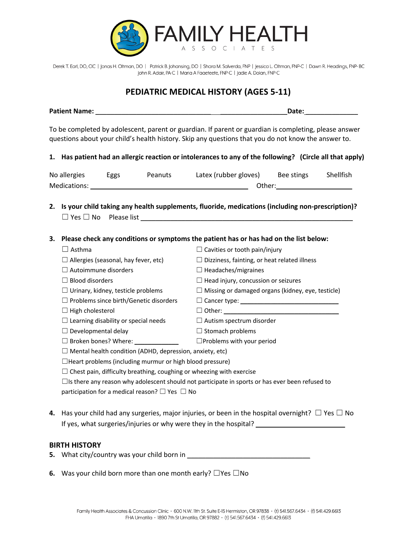

Derek T. Earl, DO, CIC | Jonas H. Oltman, DO | Patrick B. Johansing, DO | Shara M. Salverda, FNP | Jessica L. Oltman, FNP-C | Dawn R. Headings, FNP-BC John R. Adair, PA-C | Maria A Faaeteete, FNP-C | Jadie A. Dolan, FNP-C

## **PEDIATRIC MEDICAL HISTORY (AGES 5-11)**

| <b>Patient Name:</b> | <b>Date:</b>                                                                                                                                                                                                                                                                                                                                                                                                                                                                            |
|----------------------|-----------------------------------------------------------------------------------------------------------------------------------------------------------------------------------------------------------------------------------------------------------------------------------------------------------------------------------------------------------------------------------------------------------------------------------------------------------------------------------------|
|                      |                                                                                                                                                                                                                                                                                                                                                                                                                                                                                         |
|                      | $\cdot$ $\cdot$<br>the contract of the contract of the contract of the contract of the contract of the contract of the contract of<br>the contract of the contract of the contract of the contract of the contract of the contract of the contract of<br>and the contract of the contract of the contract of the contract of the contract of the contract of the contract of the contract of the contract of the contract of the contract of the contract of the contract of the contra |

To be completed by adolescent, parent or guardian. If parent or guardian is completing, please answer questions about your child's health history. Skip any questions that you do not know the answer to.

**1. Has patient had an allergic reaction or intolerances to any of the following? (Circle all that apply)**

| No allergies | Eggs | Peanuts | Latex (rubber gloves) | Bee stings | Shellfish |  |
|--------------|------|---------|-----------------------|------------|-----------|--|
| Medications: |      |         | Other:                |            |           |  |

**2. Is your child taking any health supplements, fluoride, medications (including non-prescription)?**  $\Box$  Yes  $\Box$  No Please list

#### **3. Please check any conditions or symptoms the patient has or has had on the list below:**

| Asthma                                                          | $\Box$ Cavities or tooth pain/injury                     |  |  |  |
|-----------------------------------------------------------------|----------------------------------------------------------|--|--|--|
| $\Box$ Allergies (seasonal, hay fever, etc)                     | $\Box$ Dizziness, fainting, or heat related illness      |  |  |  |
| $\Box$ Autoimmune disorders                                     | $\Box$ Headaches/migraines                               |  |  |  |
| $\Box$ Blood disorders                                          | $\Box$ Head injury, concussion or seizures               |  |  |  |
| $\Box$ Urinary, kidney, testicle problems                       | $\Box$ Missing or damaged organs (kidney, eye, testicle) |  |  |  |
| $\Box$ Problems since birth/Genetic disorders                   |                                                          |  |  |  |
| $\Box$ High cholesterol                                         | □ Other: ______ <b>_____________________</b>             |  |  |  |
| $\Box$ Learning disability or special needs                     | $\Box$ Autism spectrum disorder                          |  |  |  |
| $\Box$ Developmental delay                                      | $\Box$ Stomach problems                                  |  |  |  |
| $\Box$ Broken bones? Where:                                     | $\Box$ Problems with your period                         |  |  |  |
| $\Box$ Mental health condition (ADHD, depression, anxiety, etc) |                                                          |  |  |  |
| $\Box$ Heart problems (including murmur or high blood pressure) |                                                          |  |  |  |

 $\Box$  Chest pain, difficulty breathing, coughing or wheezing with exercise

 $\Box$ Is there any reason why adolescent should not participate in sports or has ever been refused to participation for a medical reason?  $\Box$  Yes  $\Box$  No

**4.** Has your child had any surgeries, major injuries, or been in the hospital overnight?☐ Yes ☐ No If yes, what surgeries/injuries or why were they in the hospital?

#### **BIRTH HISTORY**

- **5.** What city/country was your child born in
- **6.** Was your child born more than one month early? □Yes □No